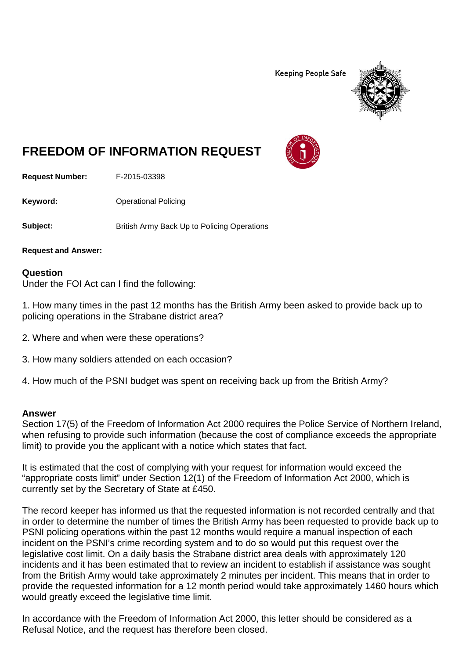**Keeping People Safe** 



## **FREEDOM OF INFORMATION REQUEST**

**Request Number:** F-2015-03398

**Keyword:** Operational Policing

**Subject:** British Army Back Up to Policing Operations

**Request and Answer:**

## **Question**

Under the FOI Act can I find the following:

1. How many times in the past 12 months has the British Army been asked to provide back up to policing operations in the Strabane district area?

- 2. Where and when were these operations?
- 3. How many soldiers attended on each occasion?
- 4. How much of the PSNI budget was spent on receiving back up from the British Army?

## **Answer**

Section 17(5) of the Freedom of Information Act 2000 requires the Police Service of Northern Ireland, when refusing to provide such information (because the cost of compliance exceeds the appropriate limit) to provide you the applicant with a notice which states that fact.

It is estimated that the cost of complying with your request for information would exceed the "appropriate costs limit" under Section 12(1) of the Freedom of Information Act 2000, which is currently set by the Secretary of State at £450.

The record keeper has informed us that the requested information is not recorded centrally and that in order to determine the number of times the British Army has been requested to provide back up to PSNI policing operations within the past 12 months would require a manual inspection of each incident on the PSNI's crime recording system and to do so would put this request over the legislative cost limit. On a daily basis the Strabane district area deals with approximately 120 incidents and it has been estimated that to review an incident to establish if assistance was sought from the British Army would take approximately 2 minutes per incident. This means that in order to provide the requested information for a 12 month period would take approximately 1460 hours which would greatly exceed the legislative time limit.

In accordance with the Freedom of Information Act 2000, this letter should be considered as a Refusal Notice, and the request has therefore been closed.